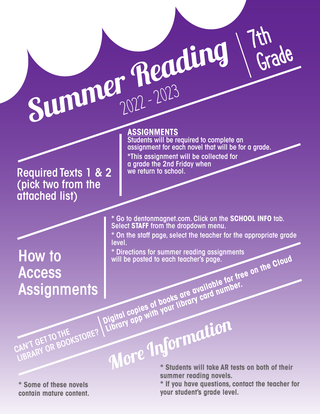Required Texts 1 & 2 (pick two from the attached list)

## How to **Access Assignments**

**ASSIGNMENTS**

Summer Reading

**ASSIGNMENTS**<br>Students will be required to complete an assignment for each novel that will be for a grade. \*This assignment will be collected for a grade the 2nd Friday when we return to school.

7th

Grade

\* Go to dentonmagnet.com. Click on the **SCHOOL INFO** tab. Select **STAFF** from the dropdown menu.

\* On the staff page, select the teacher for the appropriate grade level.

\* Directions for summer reading assignments will be posted to each teacher's page.<br>
Will be posted to each teacher's page.<br>
Digital copies of books are available for free on the Cloud<br>
Digital copies of books are available for free on the Cloud<br>
Digital copies of bo

**Library app with your library card number.**<br>Library app with your library card number.

**\* Some of these novels contain mature content.**

CAN'T GET TO THE KSTORE?

**\* Students will take AR tests on both of their summer reading novels.** More Information

**\* If you have questions, contact the teacher for your student's grade level.**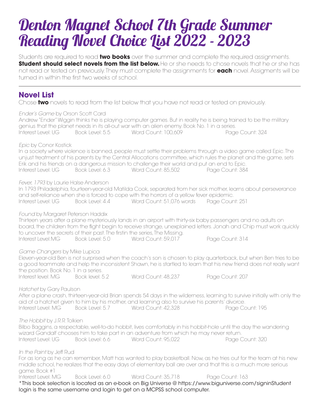## Denton Magnet School 7th Grade Summer Reading Novel Choice List 2022 - 2023

Students are required to read **two books** over the summer and complete the required assignments. **Student should select novels from the list below.** He or she needs to chose novels that he or she has not read or tested on previously. They must complete the assignments for **each** novel. Assigments will be turned in within the first two weeks of school.

## **Novel List**

Chose **two** novels to read from the list below that you have not read or tested on previously.

*Ender's Game* by Orson Scott Card Andrew "Ender" Wiggin thinks he is playing computer games. But in reality he is being trained to be the military genius that the planet needs in its all-out war with an alien enemy. Book No. 1 in a series. Interest Level: UG Book Level: 5.5 Word Count: 100,609 Page Count: 324 *Epic* by Conor Kostick In a society where violence is banned, people must settle their problems through a video game called Epic. The unjust treatment of his parents by the Central Allocations committee, which rules the planet and the game, sets Erik and his friends on a dangerous mission to challenge their world and put an end to Epic. Interest Level: UG Book Level: 6.3 Word Count: 85,502 Page Count: 384 *Fever, 1793* by Laurie Halse Anderson In 1793 Philadelphia, fourteen-year-old Matilda Cook, separated from her sick mother, learns about perseverance and self-reliance when she is forced to cope with the horrors of a yellow fever epidemic. Interest Level: UG Book Level: 4.4 Word Count: 51,076 words Page Count: 251 *Found* by Margaret Peterson Haddix Thirteen years after a plane mysteriously lands in an airport with thirty-six baby passengers and no adults on board, the children from the flight begin to receive strange, unexplained letters. Jonah and Chip must work quickly to uncover the secrets of their past. The firstin the series, The Missing. Interest Level:MG Book Level: 5.0 Word Count: 59,017 Page Count: 314 *Game Changers* by Mike Lupica Eleven-year-old Ben is not surprised when the coach's son is chosen to play quarterback, but when Ben tries to be a good teammate and help the inconsistent Shawn, he is startled to learn that his new friend does not really want the position. Book No. 1 in a series. Interest level: MG Book level: 5.2 Word Count: 48,237 Page Count: 207 *Hatchet* by Gary Paulson After a plane crash, thirteen-year-old Brian spends 54 days in the wilderness, learning to survive initially with only the aid of a hatchet given to him by his mother, and learning also to survive his parents' divorce. Interest Level: MG Book Level: 5.7 Word Count: 42,328 Page Count: 195 *The Hobbit* by J.R.R. Tolkien Bilbo Baggins, a respectable, well-to-do hobbit, lives comfortably in his hobbit-hole until the day the wandering wizard Gandalf chooses him to take part in an adventure from which he may never return. Interest Level: UG Book Level: 6.6 Word Count: 95,022 Page Count: 320 *In the Paint* by Jeff Rud For as long as he can remember, Matt has wanted to play basketball. Now, as he tries out for the team at his new middle school, he realizes that the easy days of elementary ball are over and that this is a much more serious game. Book #1 Interest Level: MG Book Level: 6.0 Word Count: 35,718 Page Count: 163 \*This book selection is located as an e-book on Big Universe @ https://www.biguniverse.com/signinStudent login is the same username and login to get on a MCPSS school computer.